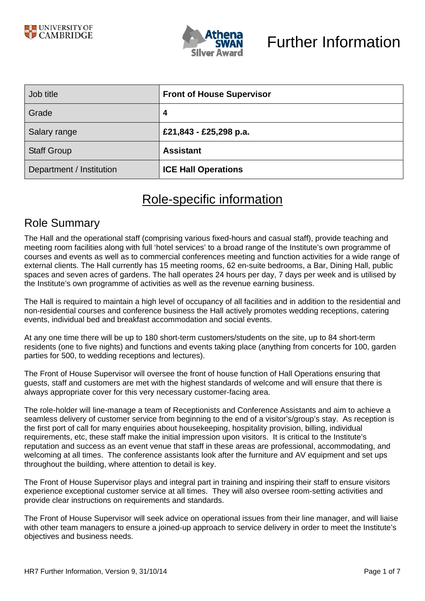

| Job title                | <b>Front of House Supervisor</b> |
|--------------------------|----------------------------------|
| Grade                    | 4                                |
| Salary range             | £21,843 - £25,298 p.a.           |
| <b>Staff Group</b>       | <b>Assistant</b>                 |
| Department / Institution | <b>ICE Hall Operations</b>       |

# Role-specific information

### Role Summary

The Hall and the operational staff (comprising various fixed-hours and casual staff), provide teaching and meeting room facilities along with full 'hotel services' to a broad range of the Institute's own programme of courses and events as well as to commercial conferences meeting and function activities for a wide range of external clients. The Hall currently has 15 meeting rooms, 62 en-suite bedrooms, a Bar, Dining Hall, public spaces and seven acres of gardens. The hall operates 24 hours per day, 7 days per week and is utilised by the Institute's own programme of activities as well as the revenue earning business.

The Hall is required to maintain a high level of occupancy of all facilities and in addition to the residential and non-residential courses and conference business the Hall actively promotes wedding receptions, catering events, individual bed and breakfast accommodation and social events.

At any one time there will be up to 180 short-term customers/students on the site, up to 84 short-term residents (one to five nights) and functions and events taking place (anything from concerts for 100, garden parties for 500, to wedding receptions and lectures).

The Front of House Supervisor will oversee the front of house function of Hall Operations ensuring that guests, staff and customers are met with the highest standards of welcome and will ensure that there is always appropriate cover for this very necessary customer-facing area.

The role-holder will line-manage a team of Receptionists and Conference Assistants and aim to achieve a seamless delivery of customer service from beginning to the end of a visitor's/group's stay. As reception is the first port of call for many enquiries about housekeeping, hospitality provision, billing, individual requirements, etc, these staff make the initial impression upon visitors. It is critical to the Institute's reputation and success as an event venue that staff in these areas are professional, accommodating, and welcoming at all times. The conference assistants look after the furniture and AV equipment and set ups throughout the building, where attention to detail is key.

The Front of House Supervisor plays and integral part in training and inspiring their staff to ensure visitors experience exceptional customer service at all times. They will also oversee room-setting activities and provide clear instructions on requirements and standards.

The Front of House Supervisor will seek advice on operational issues from their line manager, and will liaise with other team managers to ensure a joined-up approach to service delivery in order to meet the Institute's objectives and business needs.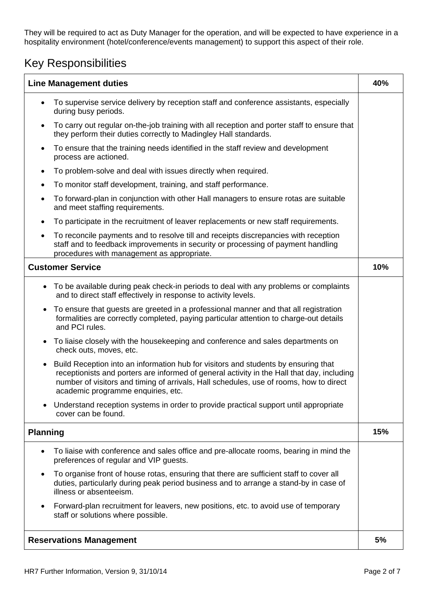They will be required to act as Duty Manager for the operation, and will be expected to have experience in a hospitality environment (hotel/conference/events management) to support this aspect of their role.

## Key Responsibilities

| <b>Line Management duties</b>                                                                                                                                                                                                                                                                                                 |     |
|-------------------------------------------------------------------------------------------------------------------------------------------------------------------------------------------------------------------------------------------------------------------------------------------------------------------------------|-----|
| To supervise service delivery by reception staff and conference assistants, especially<br>$\bullet$<br>during busy periods.                                                                                                                                                                                                   |     |
| To carry out regular on-the-job training with all reception and porter staff to ensure that<br>$\bullet$<br>they perform their duties correctly to Madingley Hall standards.                                                                                                                                                  |     |
| To ensure that the training needs identified in the staff review and development<br>$\bullet$<br>process are actioned.                                                                                                                                                                                                        |     |
| To problem-solve and deal with issues directly when required.<br>$\bullet$                                                                                                                                                                                                                                                    |     |
| To monitor staff development, training, and staff performance.<br>$\bullet$                                                                                                                                                                                                                                                   |     |
| To forward-plan in conjunction with other Hall managers to ensure rotas are suitable<br>$\bullet$<br>and meet staffing requirements.                                                                                                                                                                                          |     |
| To participate in the recruitment of leaver replacements or new staff requirements.<br>٠                                                                                                                                                                                                                                      |     |
| To reconcile payments and to resolve till and receipts discrepancies with reception<br>$\bullet$<br>staff and to feedback improvements in security or processing of payment handling<br>procedures with management as appropriate.                                                                                            |     |
| <b>Customer Service</b>                                                                                                                                                                                                                                                                                                       | 10% |
| To be available during peak check-in periods to deal with any problems or complaints<br>٠<br>and to direct staff effectively in response to activity levels.                                                                                                                                                                  |     |
| To ensure that guests are greeted in a professional manner and that all registration<br>$\bullet$<br>formalities are correctly completed, paying particular attention to charge-out details<br>and PCI rules.                                                                                                                 |     |
| To liaise closely with the housekeeping and conference and sales departments on<br>$\bullet$<br>check outs, moves, etc.                                                                                                                                                                                                       |     |
| Build Reception into an information hub for visitors and students by ensuring that<br>$\bullet$<br>receptionists and porters are informed of general activity in the Hall that day, including<br>number of visitors and timing of arrivals, Hall schedules, use of rooms, how to direct<br>academic programme enquiries, etc. |     |
| Understand reception systems in order to provide practical support until appropriate<br>cover can be found.                                                                                                                                                                                                                   |     |
| <b>Planning</b>                                                                                                                                                                                                                                                                                                               | 15% |
| To liaise with conference and sales office and pre-allocate rooms, bearing in mind the<br>$\bullet$<br>preferences of regular and VIP guests.                                                                                                                                                                                 |     |
| To organise front of house rotas, ensuring that there are sufficient staff to cover all<br>$\bullet$<br>duties, particularly during peak period business and to arrange a stand-by in case of<br>illness or absenteeism.                                                                                                      |     |
| Forward-plan recruitment for leavers, new positions, etc. to avoid use of temporary<br>$\bullet$<br>staff or solutions where possible.                                                                                                                                                                                        |     |
| <b>Reservations Management</b>                                                                                                                                                                                                                                                                                                | 5%  |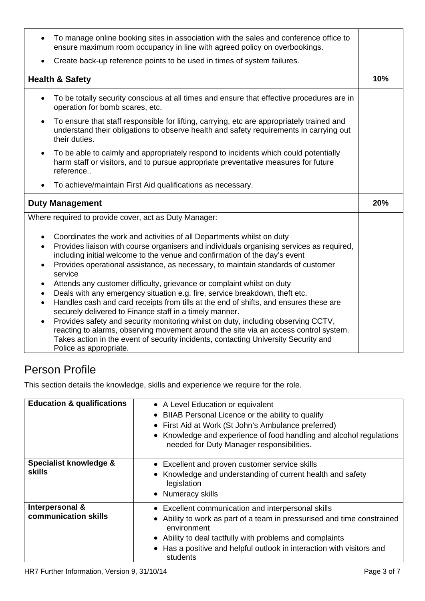| To manage online booking sites in association with the sales and conference office to<br>ensure maximum room occupancy in line with agreed policy on overbookings.                                                |     |
|-------------------------------------------------------------------------------------------------------------------------------------------------------------------------------------------------------------------|-----|
| Create back-up reference points to be used in times of system failures.                                                                                                                                           |     |
| <b>Health &amp; Safety</b>                                                                                                                                                                                        | 10% |
| To be totally security conscious at all times and ensure that effective procedures are in<br>$\bullet$<br>operation for bomb scares, etc.                                                                         |     |
| To ensure that staff responsible for lifting, carrying, etc are appropriately trained and<br>$\bullet$<br>understand their obligations to observe health and safety requirements in carrying out<br>their duties. |     |
| To be able to calmly and appropriately respond to incidents which could potentially<br>$\bullet$<br>harm staff or visitors, and to pursue appropriate preventative measures for future<br>reference               |     |
| To achieve/maintain First Aid qualifications as necessary.<br>$\bullet$                                                                                                                                           |     |
|                                                                                                                                                                                                                   |     |
| <b>Duty Management</b>                                                                                                                                                                                            | 20% |
| Where required to provide cover, act as Duty Manager:                                                                                                                                                             |     |

## Person Profile

This section details the knowledge, skills and experience we require for the role.

| <b>Education &amp; qualifications</b>   | • A Level Education or equivalent<br>• BIIAB Personal Licence or the ability to qualify<br>• First Aid at Work (St John's Ambulance preferred)<br>• Knowledge and experience of food handling and alcohol regulations<br>needed for Duty Manager responsibilities.                            |
|-----------------------------------------|-----------------------------------------------------------------------------------------------------------------------------------------------------------------------------------------------------------------------------------------------------------------------------------------------|
| Specialist knowledge &<br><b>skills</b> | • Excellent and proven customer service skills<br>• Knowledge and understanding of current health and safety<br>legislation<br>• Numeracy skills                                                                                                                                              |
| Interpersonal &<br>communication skills | • Excellent communication and interpersonal skills<br>• Ability to work as part of a team in pressurised and time constrained<br>environment<br>• Ability to deal tactfully with problems and complaints<br>• Has a positive and helpful outlook in interaction with visitors and<br>students |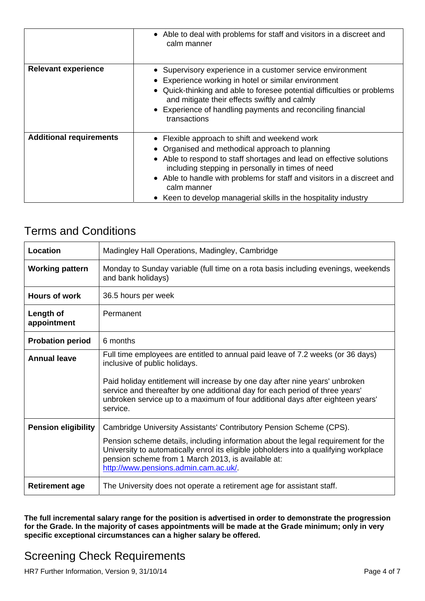|                                | • Able to deal with problems for staff and visitors in a discreet and<br>calm manner                                                                                                                                                                                                                                                                                                       |
|--------------------------------|--------------------------------------------------------------------------------------------------------------------------------------------------------------------------------------------------------------------------------------------------------------------------------------------------------------------------------------------------------------------------------------------|
| <b>Relevant experience</b>     | • Supervisory experience in a customer service environment<br>Experience working in hotel or similar environment<br>• Quick-thinking and able to foresee potential difficulties or problems<br>and mitigate their effects swiftly and calmly<br>• Experience of handling payments and reconciling financial<br>transactions                                                                |
| <b>Additional requirements</b> | • Flexible approach to shift and weekend work<br>• Organised and methodical approach to planning<br>• Able to respond to staff shortages and lead on effective solutions<br>including stepping in personally in times of need<br>• Able to handle with problems for staff and visitors in a discreet and<br>calm manner<br>• Keen to develop managerial skills in the hospitality industry |

#### Terms and Conditions

| <b>Location</b>            | Madingley Hall Operations, Madingley, Cambridge                                                                                                                                                                                                                           |
|----------------------------|---------------------------------------------------------------------------------------------------------------------------------------------------------------------------------------------------------------------------------------------------------------------------|
| <b>Working pattern</b>     | Monday to Sunday variable (full time on a rota basis including evenings, weekends<br>and bank holidays)                                                                                                                                                                   |
| <b>Hours of work</b>       | 36.5 hours per week                                                                                                                                                                                                                                                       |
| Length of<br>appointment   | Permanent                                                                                                                                                                                                                                                                 |
| <b>Probation period</b>    | 6 months                                                                                                                                                                                                                                                                  |
| <b>Annual leave</b>        | Full time employees are entitled to annual paid leave of 7.2 weeks (or 36 days)<br>inclusive of public holidays.                                                                                                                                                          |
|                            | Paid holiday entitlement will increase by one day after nine years' unbroken<br>service and thereafter by one additional day for each period of three years'<br>unbroken service up to a maximum of four additional days after eighteen years'<br>service.                |
| <b>Pension eligibility</b> | Cambridge University Assistants' Contributory Pension Scheme (CPS).                                                                                                                                                                                                       |
|                            | Pension scheme details, including information about the legal requirement for the<br>University to automatically enrol its eligible jobholders into a qualifying workplace<br>pension scheme from 1 March 2013, is available at:<br>http://www.pensions.admin.cam.ac.uk/. |
| <b>Retirement age</b>      | The University does not operate a retirement age for assistant staff.                                                                                                                                                                                                     |

**The full incremental salary range for the position is advertised in order to demonstrate the progression for the Grade. In the majority of cases appointments will be made at the Grade minimum; only in very specific exceptional circumstances can a higher salary be offered.**

# Screening Check Requirements

HR7 Further Information, Version 9, 31/10/14 Page 4 of 7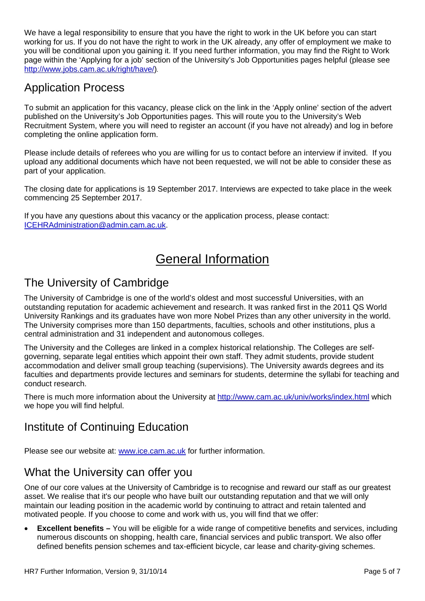We have a legal responsibility to ensure that you have the right to work in the UK before you can start working for us. If you do not have the right to work in the UK already, any offer of employment we make to you will be conditional upon you gaining it. If you need further information, you may find the Right to Work page within the 'Applying for a job' section of the University's Job Opportunities pages helpful (please see http://www.jobs.cam.ac.uk/right/have/)*.* 

### Application Process

To submit an application for this vacancy, please click on the link in the 'Apply online' section of the advert published on the University's Job Opportunities pages. This will route you to the University's Web Recruitment System, where you will need to register an account (if you have not already) and log in before completing the online application form.

Please include details of referees who you are willing for us to contact before an interview if invited. If you upload any additional documents which have not been requested, we will not be able to consider these as part of your application.

The closing date for applications is 19 September 2017. Interviews are expected to take place in the week commencing 25 September 2017.

If you have any questions about this vacancy or the application process, please contact: ICEHRAdministration@admin.cam.ac.uk.

# General Information

### The University of Cambridge

The University of Cambridge is one of the world's oldest and most successful Universities, with an outstanding reputation for academic achievement and research. It was ranked first in the 2011 QS World University Rankings and its graduates have won more Nobel Prizes than any other university in the world. The University comprises more than 150 departments, faculties, schools and other institutions, plus a central administration and 31 independent and autonomous colleges.

The University and the Colleges are linked in a complex historical relationship. The Colleges are selfgoverning, separate legal entities which appoint their own staff. They admit students, provide student accommodation and deliver small group teaching (supervisions). The University awards degrees and its faculties and departments provide lectures and seminars for students, determine the syllabi for teaching and conduct research.

There is much more information about the University at http://www.cam.ac.uk/univ/works/index.html which we hope you will find helpful.

## Institute of Continuing Education

Please see our website at: **www.ice.cam.ac.uk** for further information.

## What the University can offer you

One of our core values at the University of Cambridge is to recognise and reward our staff as our greatest asset. We realise that it's our people who have built our outstanding reputation and that we will only maintain our leading position in the academic world by continuing to attract and retain talented and motivated people. If you choose to come and work with us, you will find that we offer:

 **Excellent benefits –** You will be eligible for a wide range of competitive benefits and services, including numerous discounts on shopping, health care, financial services and public transport. We also offer defined benefits pension schemes and tax-efficient bicycle, car lease and charity-giving schemes.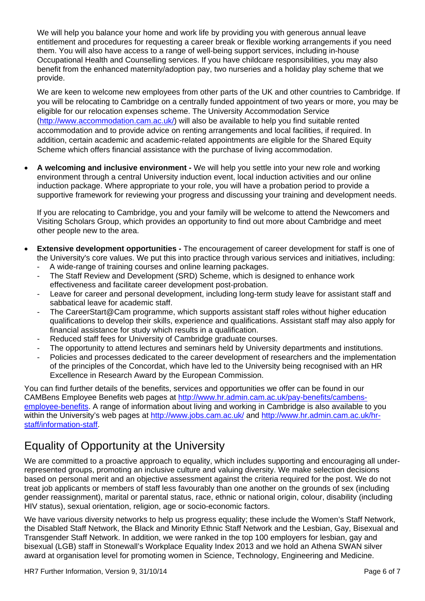We will help you balance your home and work life by providing you with generous annual leave entitlement and procedures for requesting a career break or flexible working arrangements if you need them. You will also have access to a range of well-being support services, including in-house Occupational Health and Counselling services. If you have childcare responsibilities, you may also benefit from the enhanced maternity/adoption pay, two nurseries and a holiday play scheme that we provide.

We are keen to welcome new employees from other parts of the UK and other countries to Cambridge. If you will be relocating to Cambridge on a centrally funded appointment of two years or more, you may be eligible for our relocation expenses scheme. The University Accommodation Service (http://www.accommodation.cam.ac.uk/) will also be available to help you find suitable rented accommodation and to provide advice on renting arrangements and local facilities, if required. In addition, certain academic and academic-related appointments are eligible for the Shared Equity Scheme which offers financial assistance with the purchase of living accommodation.

 **A welcoming and inclusive environment -** We will help you settle into your new role and working environment through a central University induction event, local induction activities and our online induction package. Where appropriate to your role, you will have a probation period to provide a supportive framework for reviewing your progress and discussing your training and development needs.

If you are relocating to Cambridge, you and your family will be welcome to attend the Newcomers and Visiting Scholars Group, which provides an opportunity to find out more about Cambridge and meet other people new to the area.

- **Extensive development opportunities** The encouragement of career development for staff is one of the University's core values. We put this into practice through various services and initiatives, including:
	- A wide-range of training courses and online learning packages.
	- The Staff Review and Development (SRD) Scheme, which is designed to enhance work effectiveness and facilitate career development post-probation.
	- Leave for career and personal development, including long-term study leave for assistant staff and sabbatical leave for academic staff.
	- The CareerStart@Cam programme, which supports assistant staff roles without higher education qualifications to develop their skills, experience and qualifications. Assistant staff may also apply for financial assistance for study which results in a qualification.
	- Reduced staff fees for University of Cambridge graduate courses.
	- The opportunity to attend lectures and seminars held by University departments and institutions.
	- Policies and processes dedicated to the career development of researchers and the implementation of the principles of the Concordat, which have led to the University being recognised with an HR Excellence in Research Award by the European Commission.

You can find further details of the benefits, services and opportunities we offer can be found in our CAMBens Employee Benefits web pages at http://www.hr.admin.cam.ac.uk/pay-benefits/cambensemployee-benefits. A range of information about living and working in Cambridge is also available to you within the University's web pages at http://www.jobs.cam.ac.uk/ and http://www.hr.admin.cam.ac.uk/hrstaff/information-staff.

## Equality of Opportunity at the University

We are committed to a proactive approach to equality, which includes supporting and encouraging all underrepresented groups, promoting an inclusive culture and valuing diversity. We make selection decisions based on personal merit and an objective assessment against the criteria required for the post. We do not treat job applicants or members of staff less favourably than one another on the grounds of sex (including gender reassignment), marital or parental status, race, ethnic or national origin, colour, disability (including HIV status), sexual orientation, religion, age or socio-economic factors.

We have various diversity networks to help us progress equality; these include the Women's Staff Network, the Disabled Staff Network, the Black and Minority Ethnic Staff Network and the Lesbian, Gay, Bisexual and Transgender Staff Network. In addition, we were ranked in the top 100 employers for lesbian, gay and bisexual (LGB) staff in Stonewall's Workplace Equality Index 2013 and we hold an Athena SWAN silver award at organisation level for promoting women in Science, Technology, Engineering and Medicine.